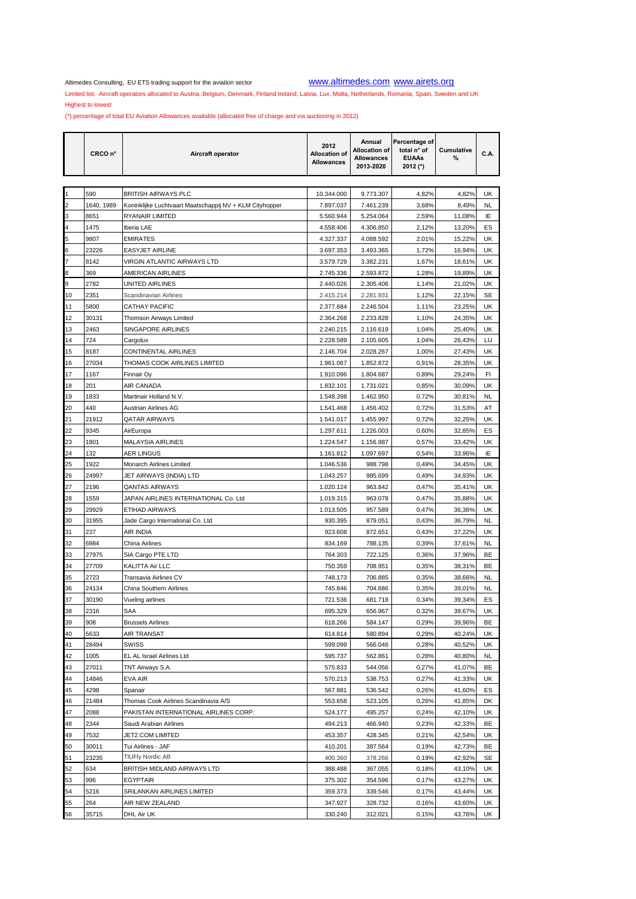## Altimedes Consulting, EU ETS trading support for the aviation sector www.altimedes.com www.airets.org

Limited list: Aircraft operators allocated to Austria, Belgium, Denmark, Finland Ireland, Latvia, Lux, Malta, Netherlands, Romania, Spain, Sweden and UK Highest to lowest

(\*) percentage of total EU Aviation Allowances available (allocated free of charge and via auctioning in 2012)

|          | CRCO <sub>n°</sub> | Aircraft operator                                       | 2012<br><b>Allocation of</b><br><b>Allowances</b> | Annual<br>Allocation of<br><b>Allowances</b><br>2013-2020 | Percentage of<br>total n° of<br><b>EUAAs</b><br>2012 (*) | Cumulative<br>%  | C.A.      |
|----------|--------------------|---------------------------------------------------------|---------------------------------------------------|-----------------------------------------------------------|----------------------------------------------------------|------------------|-----------|
|          |                    |                                                         |                                                   |                                                           |                                                          |                  |           |
|          | 590                | <b>BRITISH AIRWAYS PLC</b>                              | 10.344.000                                        | 9.773.307                                                 | 4,82%                                                    | 4,82%            | UK        |
| 2        | 1640.1989          | Koninklijke Luchtvaart Maatschappij NV + KLM Cityhopper | 7.897.037                                         | 7.461.239                                                 | 3,68%                                                    | 8,49%            | <b>NL</b> |
| 3        | 8651               | RYANAIR LIMITED                                         | 5.560.944                                         | 5.254.064                                                 | 2,59%                                                    | 11,08%           | IE        |
| 4        | 1475               | Iberia LAE                                              | 4.558.406                                         | 4.306.850                                                 | 2,12%                                                    | 13,20%           | ES        |
| 5        | 9807               | <b>EMIRATES</b>                                         | 4.327.337                                         | 4.088.592                                                 | 2,01%                                                    | 15,22%           | UK        |
| 6        | 23226              | <b>EASYJET AIRLINE</b>                                  | 3.697.353                                         | 3.493.365                                                 | 1,72%                                                    | 16,94%           | UK        |
| 7        | 8142               | VIRGIN ATLANTIC AIRWAYS LTD                             | 3.579.729                                         | 3.382.231                                                 | 1,67%                                                    | 18,61%           | UK        |
| 8        | 369                | AMERICAN AIRLINES                                       | 2.745.336                                         | 2.593.872                                                 | 1,28%                                                    | 19,89%           | UK        |
| 9        | 2782               | UNITED AIRLINES                                         | 2.440.026                                         | 2.305.406                                                 | 1,14%                                                    | 21.02%           | UK        |
| 10       | 2351               | Scandinavian Airlines                                   | 2.415.214                                         | 2.281.931                                                 | 1,12%                                                    | 22,15%           | SE        |
| 11       | 5800               | <b>CATHAY PACIFIC</b>                                   | 2.377.684                                         | 2.246.504                                                 | 1,11%                                                    | 23,25%           | UK        |
| 12       | 30131              | Thomson Airways Limited                                 | 2.364.268                                         | 2.233.828                                                 | 1,10%                                                    | 24,35%<br>25,40% | UK        |
| 13<br>14 | 2463<br>724        | SINGAPORE AIRLINES<br>Cargolux                          | 2.240.215<br>2.228.589                            | 2.116.619<br>2.105.605                                    | 1,04%<br>1,04%                                           | 26,43%           | UK<br>LU  |
|          | 8187               | <b>CONTINENTAL AIRLINES</b>                             | 2.146.704                                         | 2.028.267                                                 | 1,00%                                                    | 27,43%           | UK        |
| 15<br>16 | 27034              | THOMAS COOK AIRLINES LIMITED                            | 1.961.067                                         | 1.852.872                                                 | 0.91%                                                    | 28,35%           | UK        |
| 17       | 1167               |                                                         | 1.910.096                                         | 1.804.687                                                 | 0,89%                                                    | 29,24%           | FI        |
| 18       | 201                | Finnair Oy<br>AIR CANADA                                | 1.832.101                                         | 1.731.021                                                 | 0,85%                                                    | 30,09%           | UK        |
| 19       | 1833               | Martinair Holland N.V.                                  | 1.548.398                                         | 1.462.950                                                 | 0,72%                                                    | 30,81%           | <b>NL</b> |
| 20       | 440                | <b>Austrian Airlines AG</b>                             | 1.541.468                                         | 1.456.402                                                 | 0,72%                                                    | 31,53%           | AT        |
| 21       | 21912              | <b>QATAR AIRWAYS</b>                                    | 1.541.017                                         | 1.455.997                                                 | 0,72%                                                    | 32,25%           | UK        |
| 22       | 9345               | AirEuropa                                               | 1.297.611                                         | 1.226.003                                                 | 0,60%                                                    | 32.85%           | ES        |
| 23       | 1801               | <b>MALAYSIA AIRLINES</b>                                | 1.224.547                                         | 1.156.987                                                 | 0,57%                                                    | 33,42%           | UK        |
| 24       | 132                | <b>AER LINGUS</b>                                       | 1.161.812                                         | 1.097.697                                                 | 0,54%                                                    | 33,96%           | IE        |
| 25       | 1922               | Monarch Airlines Limited                                | 1.046.536                                         | 988.798                                                   | 0,49%                                                    | 34,45%           | UK        |
| 26       | 24997              | JET AIRWAYS (INDIA) LTD                                 | 1.043.257                                         | 985.699                                                   | 0,49%                                                    | 34,93%           | UK        |
| 27       | 2196               | <b>QANTAS AIRWAYS</b>                                   | 1.020.124                                         | 963.842                                                   | 0,47%                                                    | 35,41%           | UK        |
| 28       | 1559               | JAPAN AIRLINES INTERNATIONAL Co. Ltd                    | 1.019.315                                         | 963.078                                                   | 0,47%                                                    | 35,88%           | UK        |
| 29       | 29929              | <b>ETIHAD AIRWAYS</b>                                   | 1.013.505                                         | 957.589                                                   | 0,47%                                                    | 36,36%           | UK        |
| 30       | 31955              | Jade Cargo International Co. Ltd                        | 930.395                                           | 879.051                                                   | 0,43%                                                    | 36,79%           | NL        |
| 31       | 237                | AIR INDIA                                               | 923.608                                           | 872.651                                                   | 0,43%                                                    | 37,22%           | UK        |
| 32       | 6984               | China Airlines                                          | 834.169                                           | 788.135                                                   | 0,39%                                                    | 37,61%           | <b>NL</b> |
| 33       | 27975              | SIA Cargo PTE LTD                                       | 764.303                                           | 722.125                                                   | 0,36%                                                    | 37,96%           | BE        |
| 34       | 27709              | KALITTA Air LLC                                         | 750.359                                           | 708.951                                                   | 0,35%                                                    | 38,31%           | BE        |
| 35       | 2723               | Transavia Airlines CV                                   | 748.173                                           | 706.885                                                   | 0,35%                                                    | 38.66%           | <b>NL</b> |
| 36       | 24134              | China Southern Airlines                                 | 745.846                                           | 704.686                                                   | 0,35%                                                    | 39,01%           | <b>NL</b> |
| 37       | 30190              | Vueling airlines                                        | 721.536                                           | 681.718                                                   | 0,34%                                                    | 39,34%           | ES        |
| 38       | 2316               | SAA                                                     | 695.329                                           | 656.967                                                   | 0,32%                                                    | 39,67%           | UK.       |
| 39       | 908                | <b>Brussels Airlines</b>                                | 618.266                                           | 584.147                                                   | 0,29%                                                    | 39,96%           | BE        |
| 40       | 5633               | AIR TRANSAT                                             | 614.814                                           | 580.894                                                   | 0,29%                                                    | 40,24%           | UK        |
| 41       | 28494              | <b>SWISS</b>                                            | 599.099                                           | 566.046                                                   | 0,28%                                                    | 40,52%           | UK        |
| 42       | 1005               | EL AL Israel Airlines Ltd                               | 595.737                                           | 562.861                                                   | 0,28%                                                    | 40,80%           | NL        |
| 43       | 27011              | TNT Airways S.A.                                        | 575.833                                           | 544.056                                                   | 0,27%                                                    | 41,07%           | BE        |
| 44       | 14846              | EVA AIR                                                 | 570.213                                           | 538.753                                                   | 0,27%                                                    | 41,33%           | UK        |
| 45       | 4298               | Spanair                                                 | 567.881                                           | 536.542                                                   | 0,26%                                                    | 41,60%           | ES        |
| 46       | 21484              | Thomas Cook Airlines Scandinavia A/S                    | 553.658                                           | 523.105                                                   | 0,26%                                                    | 41,85%           | DK        |
| 47       | 2088               | PAKISTAN INTERNATIONAL AIRLINES CORP.                   | 524.177                                           | 495.257                                                   | 0,24%                                                    | 42,10%           | UK        |
| 48       | 2344               | Saudi Arabian Airlines                                  | 494.213                                           | 466.940                                                   | 0,23%                                                    | 42,33%           | BE        |
| 49       | 7532               | JET2.COM LIMITED                                        | 453.357                                           | 428.345                                                   | 0,21%                                                    | 42,54%           | UK        |
| 50       | 30011              | Tui Airlines - JAF                                      | 410.201                                           | 387.564                                                   | 0,19%                                                    | 42,73%           | BE        |
| 51       | 23235              | <b>TIUFly Nordic AB</b>                                 | 400.360                                           | 378.266                                                   | 0,19%                                                    | 42,92%           | SE        |
| 52       | 634                | BRITISH MIDLAND AIRWAYS LTD                             | 388.488                                           | 367.055                                                   | 0,18%                                                    | 43,10%           | UK        |
| 53       | 996                | <b>EGYPTAIR</b>                                         | 375.302                                           | 354.596                                                   | 0,17%                                                    | 43,27%           | UK        |
| 54       | 5216               | SRILANKAN AIRLINES LIMITED                              | 359.373                                           | 339.546                                                   | 0,17%                                                    | 43,44%           | UK        |
| 55       | 264                | AIR NEW ZEALAND                                         | 347.927                                           | 328.732                                                   | 0,16%                                                    | 43,60%           | UK        |
| 56       | 35715              | DHL Air UK                                              | 330.240                                           | 312.021                                                   | 0.15%                                                    | 43,76%           | UK        |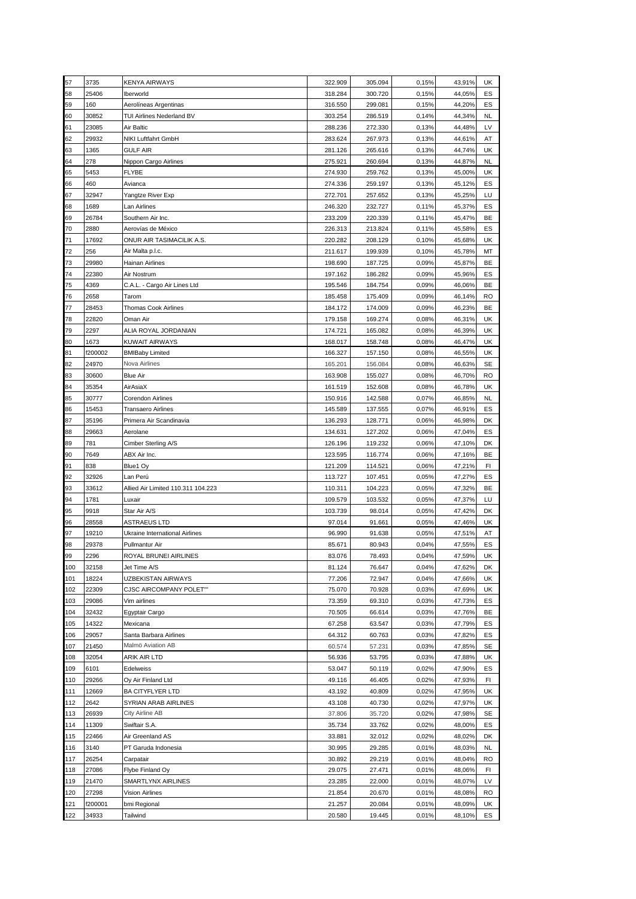| 57  | 3735    | <b>KENYA AIRWAYS</b>               | 322.909 | 305.094 | 0,15% | 43,91% | UK        |
|-----|---------|------------------------------------|---------|---------|-------|--------|-----------|
| 58  | 25406   | Iberworld                          | 318.284 | 300.720 | 0,15% | 44,05% | ES        |
| 59  | 160     | Aerolíneas Argentinas              | 316.550 | 299.081 | 0,15% | 44,20% | ES        |
| 60  | 30852   | TUI Airlines Nederland BV          | 303.254 | 286.519 | 0,14% | 44,34% | <b>NL</b> |
| 61  | 23085   | Air Baltic                         | 288.236 | 272.330 | 0,13% | 44,48% | LV        |
| 62  | 29932   | NIKI Luftfahrt GmbH                | 283.624 | 267.973 | 0,13% | 44,61% | AT        |
| 63  | 1365    | <b>GULF AIR</b>                    | 281.126 | 265.616 | 0,13% | 44,74% | UK        |
| 64  | 278     | Nippon Cargo Airlines              | 275.921 | 260.694 | 0,13% | 44,87% | <b>NL</b> |
| 65  | 5453    | <b>FLYBE</b>                       | 274.930 | 259.762 | 0,13% | 45,00% | UK        |
| 66  | 460     | Avianca                            | 274.336 | 259.197 | 0,13% | 45,12% | ES        |
| 67  | 32947   | Yangtze River Exp                  | 272.701 | 257.652 | 0,13% | 45,25% | LU        |
| 68  | 1689    |                                    | 246.320 | 232.727 | 0,11% | 45,37% | ES        |
|     |         | Lan Airlines                       |         |         |       |        |           |
| 69  | 26784   | Southern Air Inc.                  | 233.209 | 220.339 | 0,11% | 45,47% | BE        |
| 70  | 2880    | Aerovías de México                 | 226.313 | 213.824 | 0,11% | 45,58% | ES        |
| 71  | 17692   | ONUR AIR TASIMACILIK A.S.          | 220.282 | 208.129 | 0,10% | 45,68% | UK        |
| 72  | 256     | Air Malta p.l.c.                   | 211.617 | 199.939 | 0,10% | 45,78% | МT        |
| 73  | 29980   | Hainan Airlines                    | 198.690 | 187.725 | 0,09% | 45,87% | BE        |
| 74  | 22380   | Air Nostrum                        | 197.162 | 186.282 | 0,09% | 45,96% | ES        |
| 75  | 4369    | C.A.L. - Cargo Air Lines Ltd       | 195.546 | 184.754 | 0,09% | 46,06% | BE        |
| 76  | 2658    | Tarom                              | 185.458 | 175.409 | 0,09% | 46,14% | RO        |
| 77  | 28453   | <b>Thomas Cook Airlines</b>        | 184.172 | 174.009 | 0,09% | 46,23% | BE        |
| 78  | 22820   | Oman Air                           | 179.158 | 169.274 | 0,08% | 46,31% | UK        |
| 79  | 2297    | ALIA ROYAL JORDANIAN               | 174.721 | 165.082 | 0,08% | 46,39% | UK        |
| 80  | 1673    | <b>KUWAIT AIRWAYS</b>              | 168.017 | 158.748 | 0,08% | 46,47% | UK        |
| 81  | f200002 | <b>BMIBaby Limited</b>             | 166.327 | 157.150 | 0,08% | 46,55% | UK        |
| 82  | 24970   | Nova Airlines                      | 165.201 | 156.084 | 0,08% | 46,63% | SE        |
| 83  | 30600   | <b>Blue Air</b>                    | 163.908 | 155.027 | 0,08% | 46,70% | RO        |
| 84  | 35354   | AirAsiaX                           | 161.519 | 152.608 | 0,08% | 46,78% | UK        |
| 85  | 30777   | Corendon Airlines                  | 150.916 | 142.588 | 0,07% | 46,85% | <b>NL</b> |
| 86  | 15453   | Transaero Airlines                 | 145.589 | 137.555 | 0,07% | 46,91% | ES        |
| 87  | 35196   | Primera Air Scandinavia            | 136.293 | 128.771 | 0,06% | 46,98% | DK        |
| 88  | 29663   | Aerolane                           | 134.631 | 127.202 | 0,06% | 47,04% | ES        |
| 89  | 781     | Cimber Sterling A/S                | 126.196 | 119.232 | 0,06% | 47,10% | DK        |
| 90  | 7649    | ABX Air Inc.                       | 123.595 | 116.774 | 0,06% | 47,16% | BE        |
|     |         |                                    |         |         |       |        |           |
| 91  | 838     | Blue1 Oy                           | 121.209 | 114.521 | 0,06% | 47,21% | FI        |
| 92  | 32926   | Lan Perú                           | 113.727 | 107.451 | 0,05% | 47,27% | ES        |
| 93  | 33612   | Allied Air Limited 110.311 104.223 | 110.311 | 104.223 | 0,05% | 47,32% | BE        |
| 94  | 1781    | Luxair                             | 109.579 | 103.532 | 0,05% | 47,37% | LU        |
| 95  | 9918    | Star Air A/S                       | 103.739 | 98.014  | 0,05% | 47,42% | DK        |
| 96  | 28558   | ASTRAEUS LTD                       | 97.014  | 91.661  | 0,05% | 47,46% | UK        |
|     |         |                                    |         |         |       |        |           |
| 97  | 19210   | Ukraine International Airlines     | 96.990  | 91.638  | 0,05% | 47,51% | AT        |
| 98  | 29378   | Pullmantur Air                     | 85.671  | 80.943  | 0,04% | 47,55% | ES        |
| 99  | 2296    | ROYAL BRUNEI AIRLINES              | 83.076  | 78.493  | 0,04% | 47,59% | UK        |
| 100 | 32158   | Jet Time A/S                       | 81.124  | 76.647  | 0,04% | 47,62% | DK        |
| 101 | 18224   | <b>UZBEKISTAN AIRWAYS</b>          | 77.206  | 72.947  | 0,04% | 47,66% | UK        |
| 102 | 22309   | CJSC AIRCOMPANY POLET""            | 75.070  | 70.928  | 0,03% | 47,69% | UK        |
| 103 | 29086   | Vim airlines                       | 73.359  | 69.310  | 0,03% | 47,73% | ES        |
| 104 | 32432   | Egyptair Cargo                     | 70.505  | 66.614  | 0,03% | 47,76% | BE        |
| 105 | 14322   | Mexicana                           | 67.258  | 63.547  | 0,03% | 47,79% | ES        |
| 106 | 29057   | Santa Barbara Airlines             | 64.312  | 60.763  | 0,03% | 47,82% | ES        |
| 107 | 21450   | Malmö Aviation AB                  | 60.574  | 57.231  | 0,03% | 47,85% | SE        |
| 108 | 32054   | ARIK AIR LTD                       | 56.936  | 53.795  | 0,03% | 47,88% | UK        |
| 109 | 6101    | Edelweiss                          | 53.047  | 50.119  | 0,02% | 47,90% | ES        |
| 110 | 29266   | Oy Air Finland Ltd                 | 49.116  | 46.405  | 0,02% | 47,93% | FI        |
| 111 | 12669   | <b>BA CITYFLYER LTD</b>            | 43.192  | 40.809  | 0,02% | 47,95% | UK        |
| 112 | 2642    | SYRIAN ARAB AIRLINES               | 43.108  | 40.730  | 0,02% | 47,97% | UK        |
| 113 | 26939   | City Airline AB                    | 37.806  | 35.720  | 0,02% | 47,98% | SE        |
| 114 | 11309   | Swiftair S.A.                      | 35.734  | 33.762  | 0,02% | 48,00% | ES        |
| 115 | 22466   | Air Greenland AS                   | 33.881  | 32.012  | 0,02% | 48,02% | DK        |
| 116 | 3140    | PT Garuda Indonesia                | 30.995  | 29.285  | 0,01% | 48,03% | NL        |
| 117 | 26254   | Carpatair                          | 30.892  | 29.219  | 0,01% | 48,04% | RO        |
| 118 | 27086   | Flybe Finland Oy                   | 29.075  | 27.471  | 0,01% | 48,06% | FI        |
| 119 | 21470   | SMARTLYNX AIRLINES                 | 23.285  | 22.000  | 0,01% | 48,07% | LV        |
| 120 | 27298   | Vision Airlines                    | 21.854  | 20.670  | 0,01% | 48,08% | RO        |
| 121 | f200001 | bmi Regional                       | 21.257  | 20.084  | 0,01% | 48,09% | UK        |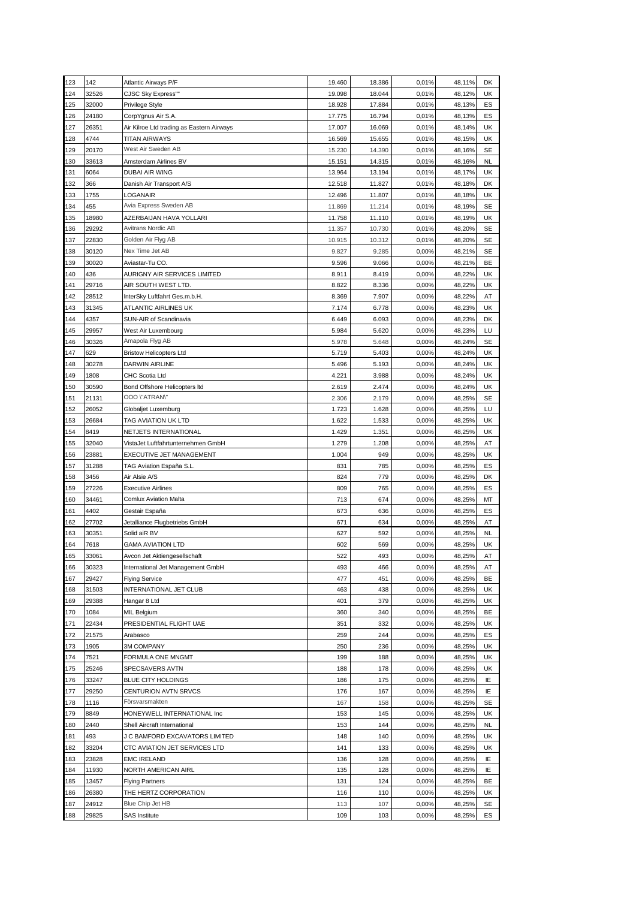| 123        | 142            | Atlantic Airways P/F                                       | 19.460         | 18.386         | 0,01%             | 48,11%           | DK        |
|------------|----------------|------------------------------------------------------------|----------------|----------------|-------------------|------------------|-----------|
| 124        | 32526          | <b>CJSC Sky Express""</b>                                  | 19.098         | 18.044         | 0,01%             | 48,12%           | UK        |
| 125        | 32000          | Privilege Style                                            | 18.928         | 17.884         | 0,01%             | 48,13%           | ES        |
| 126        | 24180          | CorpYgnus Air S.A.                                         | 17.775         | 16.794         | 0,01%             | 48,13%           | ES        |
| 127        | 26351          | Air Kilroe Ltd trading as Eastern Airways                  | 17.007         | 16.069         | 0,01%             | 48,14%           | UK        |
| 128        | 4744           | TITAN AIRWAYS                                              | 16.569         | 15.655         | 0,01%             | 48,15%           | UK        |
| 129        | 20170          | West Air Sweden AB                                         | 15.230         | 14.390         | 0,01%             | 48,16%           | <b>SE</b> |
| 130        | 33613          | Amsterdam Airlines BV                                      | 15.151         | 14.315         | 0,01%             | 48,16%           | <b>NL</b> |
| 131        | 6064           | DUBAI AIR WING                                             | 13.964         | 13.194         | 0,01%             | 48,17%           | UK        |
| 132        | 366            | Danish Air Transport A/S                                   | 12.518         | 11.827         | 0,01%             | 48,18%           | DK        |
| 133        | 1755           | LOGANAIR                                                   | 12.496         | 11.807         | 0,01%             | 48,18%           | UK        |
| 134        | 455            | Avia Express Sweden AB                                     | 11.869         | 11.214         | 0,01%             | 48,19%           | SE        |
| 135        | 18980          | AZERBAIJAN HAVA YOLLARI                                    | 11.758         | 11.110         | 0,01%             | 48,19%           | UK        |
| 136        | 29292          | Avitrans Nordic AB                                         | 11.357         | 10.730         | 0,01%             | 48,20%           | SE        |
| 137        | 22830          | Golden Air Flyg AB                                         | 10.915         | 10.312         | 0,01%             | 48,20%           | <b>SE</b> |
| 138        | 30120          | Nex Time Jet AB                                            | 9.827          | 9.285          | 0,00%             | 48,21%           | SE        |
| 139        | 30020<br>436   | Aviastar-Tu CO.                                            | 9.596          | 9.066          | 0,00%             | 48,21%           | BE        |
| 140<br>141 | 29716          | AURIGNY AIR SERVICES LIMITED<br>AIR SOUTH WEST LTD.        | 8.911<br>8.822 | 8.419<br>8.336 | 0,00%<br>0,00%    | 48,22%<br>48,22% | UK<br>UK  |
| 142        | 28512          | InterSky Luftfahrt Ges.m.b.H.                              | 8.369          | 7.907          | 0,00%             | 48,22%           | AT        |
| 143        | 31345          | ATLANTIC AIRLINES UK                                       | 7.174          | 6.778          | 0,00%             | 48,23%           | UK        |
| 144        | 4357           | SUN-AIR of Scandinavia                                     | 6.449          | 6.093          | 0,00%             | 48,23%           | DK        |
| 145        | 29957          | West Air Luxembourg                                        | 5.984          | 5.620          | 0,00%             | 48,23%           | LU        |
| 146        | 30326          | Amapola Flyg AB                                            | 5.978          | 5.648          | 0,00%             | 48,24%           | <b>SE</b> |
| 147        | 629            | <b>Bristow Helicopters Ltd</b>                             | 5.719          | 5.403          | 0,00%             | 48,24%           | UK        |
| 148        | 30278          | DARWIN AIRLINE                                             | 5.496          | 5.193          | 0,00%             | 48,24%           | UK        |
| 149        | 1808           | CHC Scotia Ltd                                             | 4.221          | 3.988          | 0,00%             | 48,24%           | UK        |
| 150        | 30590          | Bond Offshore Helicopters Itd                              | 2.619          | 2.474          | 0,00%             | 48,24%           | UK        |
| 151        | 21131          | OOO \"ATRAN\"                                              | 2.306          | 2.179          | 0,00%             | 48,25%           | SE        |
| 152        | 26052          | Globaljet Luxemburg                                        | 1.723          | 1.628          | 0,00%             | 48,25%           | LU        |
| 153        | 26684          | TAG AVIATION UK LTD                                        | 1.622          | 1.533          | 0,00%             | 48,25%           | UK        |
| 154        | 8419           | NETJETS INTERNATIONAL                                      | 1.429          | 1.351          | 0,00%             | 48,25%           | UK        |
| 155        | 32040          | VistaJet Luftfahrtunternehmen GmbH                         | 1.279          | 1.208          | 0,00%             | 48,25%           | AT        |
| 156        | 23881          | EXECUTIVE JET MANAGEMENT                                   | 1.004          | 949            | 0,00%             | 48,25%           | UK        |
| 157        | 31288          | TAG Aviation España S.L.                                   | 831            | 785            | 0,00%             | 48,25%           | ES        |
| 158        | 3456           | Air Alsie A/S                                              | 824            | 779            | 0,00%             | 48,25%           | DK        |
| 159        | 27226          | <b>Executive Airlines</b>                                  | 809            | 765            | 0,00%             | 48,25%           | ES        |
| 160        | 34461          | <b>Comlux Aviation Malta</b>                               | 713            | 674            | 0,00%             | 48,25%           | МT        |
| 161        | 4402           | Gestair España                                             | 673            | 636            | 0,00%             | 48,25%           | ES        |
| 162        | 27702          | Jetalliance Flugbetriebs GmbH                              | 671            | 634            | 0,00%             | 48,25%           | AT        |
| 163        | 30351          | Solid aiR BV                                               | 627            | 592            | 0,00%             | 48,25%           | <b>NL</b> |
| 164        | 7618           | <b>GAMA AVIATION LTD</b>                                   | 602            | 569            | 0,00%             | 48,25%           | UK        |
| 165        | 33061          | Avcon Jet Aktiengesellschaft                               | 522<br>493     | 493<br>466     | $0,00\%$<br>0,00% | 48,25%           | AT        |
| 166<br>167 | 30323<br>29427 | International Jet Management GmbH<br><b>Flying Service</b> | 477            | 451            | 0,00%             | 48,25%<br>48,25% | AT<br>BE  |
| 168        | 31503          | INTERNATIONAL JET CLUB                                     | 463            | 438            | 0,00%             | 48,25%           | UK        |
| 169        | 29388          | Hangar 8 Ltd                                               | 401            | 379            | 0,00%             | 48,25%           | UK        |
| 170        | 1084           | MIL Belgium                                                | 360            | 340            | 0,00%             | 48,25%           | BE        |
| 171        | 22434          | PRESIDENTIAL FLIGHT UAE                                    | 351            | 332            | 0,00%             | 48,25%           | UK        |
| 172        | 21575          | Arabasco                                                   | 259            | 244            | 0,00%             | 48,25%           | ES        |
| 173        | 1905           | <b>3M COMPANY</b>                                          | 250            | 236            | 0,00%             | 48,25%           | UK        |
| 174        | 7521           | FORMULA ONE MNGMT                                          | 199            | 188            | 0,00%             | 48,25%           | UK        |
| 175        | 25246          | SPECSAVERS AVTN                                            | 188            | 178            | 0,00%             | 48,25%           | UK        |
| 176        | 33247          | <b>BLUE CITY HOLDINGS</b>                                  | 186            | 175            | 0,00%             | 48,25%           | ΙE        |
| 177        | 29250          | CENTURION AVTN SRVCS                                       | 176            | 167            | 0,00%             | 48,25%           | IE        |
| 178        | 1116           | Försvarsmakten                                             | 167            | 158            | 0,00%             | 48,25%           | SE        |
| 179        | 8849           | HONEYWELL INTERNATIONAL Inc                                | 153            | 145            | 0,00%             | 48,25%           | UK        |
| 180        | 2440           | Shell Aircraft International                               | 153            | 144            | 0,00%             | 48,25%           | <b>NL</b> |
| 181        | 493            | J C BAMFORD EXCAVATORS LIMITED                             | 148            | 140            | 0,00%             | 48,25%           | UK        |
| 182        | 33204          | CTC AVIATION JET SERVICES LTD                              | 141            | 133            | 0,00%             | 48,25%           | UK        |
| 183        | 23828          | <b>EMC IRELAND</b>                                         | 136            | 128            | 0,00%             | 48,25%           | ΙE        |
| 184        | 11930          | NORTH AMERICAN AIRL                                        | 135            | 128            | 0,00%             | 48,25%           | ΙE        |
| 185        | 13457          | <b>Flying Partners</b>                                     | 131            | 124            | 0,00%             | 48,25%           | ВE        |
| 186        | 26380          | THE HERTZ CORPORATION                                      | 116            | 110            | 0,00%             | 48,25%           | UK        |
| 187        | 24912<br>29825 | Blue Chip Jet HB                                           | 113<br>109     | 107            | 0,00%             | 48,25%           | <b>SE</b> |
| 188        |                | <b>SAS Institute</b>                                       |                | 103            | 0,00%             | 48,25%           | ES        |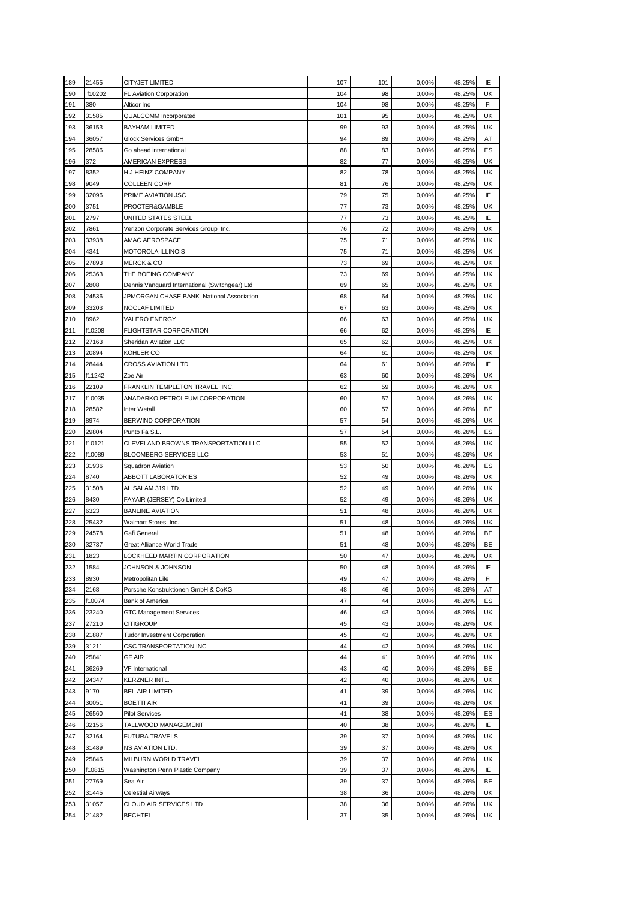| 189        | 21455          | <b>CITYJET LIMITED</b>                         | 107      | 101      | 0,00%          | 48,25%           | IE       |
|------------|----------------|------------------------------------------------|----------|----------|----------------|------------------|----------|
| 190        | f10202         | <b>FL Aviation Corporation</b>                 | 104      | 98       | 0,00%          | 48,25%           | UK       |
| 191        | 380            | Alticor Inc                                    | 104      | 98       | 0,00%          | 48,25%           | FI.      |
| 192        | 31585          | QUALCOMM Incorporated                          | 101      | 95       | 0,00%          | 48,25%           | UK       |
| 193        | 36153          | <b>BAYHAM LIMITED</b>                          | 99       | 93       | 0,00%          | 48,25%           | UK       |
| 194        | 36057          | Glock Services GmbH                            | 94       | 89       | 0,00%          | 48,25%           | AT       |
| 195        | 28586          | Go ahead international                         | 88       | 83       | 0,00%          | 48,25%           | ES       |
| 196        | 372            | AMERICAN EXPRESS                               | 82       | 77       | 0,00%          | 48,25%           | UK       |
| 197        | 8352           | H J HEINZ COMPANY                              | 82       | 78       | 0,00%          | 48,25%           | UK       |
| 198        | 9049           | <b>COLLEEN CORP</b>                            | 81       | 76       | 0,00%          | 48,25%           | UK       |
| 199        | 32096          | PRIME AVIATION JSC                             | 79       | 75       | 0,00%          | 48,25%           | ΙE       |
| 200        | 3751           | PROCTER&GAMBLE                                 | 77       | 73       | 0,00%          | 48,25%           | UK       |
| 201        | 2797           | UNITED STATES STEEL                            | 77       | 73       | 0,00%          | 48,25%           | IE       |
| 202        | 7861           | Verizon Corporate Services Group Inc.          | 76       | 72       | 0,00%          | 48,25%           | UK       |
| 203        | 33938          | AMAC AEROSPACE                                 | 75       | 71       | 0,00%          | 48,25%           | UK       |
| 204        | 4341           | <b>MOTOROLA ILLINOIS</b>                       | 75       | 71       | 0,00%          | 48,25%           | UK       |
| 205        | 27893          | <b>MERCK &amp; CO</b>                          | 73       | 69       | 0,00%          | 48,25%           | UK       |
| 206        | 25363          | THE BOEING COMPANY                             | 73       | 69       | 0,00%          | 48,25%           | UK       |
| 207        | 2808           | Dennis Vanguard International (Switchgear) Ltd | 69       | 65       | 0,00%          | 48,25%           | UK       |
| 208        | 24536          | JPMORGAN CHASE BANK National Association       | 68       | 64       | 0,00%          | 48,25%           | UK       |
| 209        | 33203          | <b>NOCLAF LIMITED</b>                          | 67       | 63<br>63 | 0,00%          | 48,25%           | UK       |
| 210<br>211 | 8962<br>f10208 | VALERO ENERGY<br>FLIGHTSTAR CORPORATION        | 66<br>66 | 62       | 0,00%<br>0,00% | 48,25%<br>48,25% | UK<br>ΙE |
|            | 27163          |                                                | 65       | 62       | 0,00%          | 48,25%           | UK       |
| 212<br>213 | 20894          | Sheridan Aviation LLC<br>KOHLER CO             | 64       | 61       | 0,00%          | 48,25%           | UK       |
| 214        | 28444          | CROSS AVIATION LTD                             | 64       | 61       | 0.00%          | 48,26%           | IE       |
| 215        | f11242         | Zoe Air                                        | 63       | 60       | 0,00%          | 48,26%           | UK       |
| 216        | 22109          | FRANKLIN TEMPLETON TRAVEL INC.                 | 62       | 59       | 0,00%          | 48,26%           | UK       |
| 217        | f10035         | ANADARKO PETROLEUM CORPORATION                 | 60       | 57       | 0,00%          | 48,26%           | UK       |
| 218        | 28582          | <b>Inter Wetall</b>                            | 60       | 57       | 0,00%          | 48,26%           | BE       |
| 219        | 8974           | BERWIND CORPORATION                            | 57       | 54       | 0,00%          | 48,26%           | UK       |
| 220        | 29804          | Punto Fa S.L.                                  | 57       | 54       | 0,00%          | 48,26%           | ES       |
| 221        | f10121         | CLEVELAND BROWNS TRANSPORTATION LLC            | 55       | 52       | 0,00%          | 48,26%           | UK       |
| 222        | f10089         | <b>BLOOMBERG SERVICES LLC</b>                  | 53       | 51       | 0,00%          | 48,26%           | UK       |
| 223        | 31936          | Squadron Aviation                              | 53       | 50       | 0,00%          | 48,26%           | ES       |
| 224        | 8740           | ABBOTT LABORATORIES                            | 52       | 49       | 0,00%          | 48,26%           | UK       |
| 225        | 31508          | AL SALAM 319 LTD.                              | 52       | 49       | 0,00%          | 48,26%           | UK       |
| 226        | 8430           | FAYAIR (JERSEY) Co Limited                     | 52       | 49       | 0,00%          | 48,26%           | UK       |
| 227        | 6323           | <b>BANLINE AVIATION</b>                        | 51       | 48       | 0,00%          | 48,26%           | UK       |
| 228        | 25432          | Walmart Stores Inc.                            | 51       | 48       | 0,00%          | 48,26%           | UK       |
| 229        | 24578          | Gafi General                                   | 51       | 48       | 0,00%          | 48,26%           | BE       |
| 230        | 32737          | Great Alliance World Trade                     | 51       | 48       | 0,00%          | 48,26%           | BE       |
| 231        | 1823           | LOCKHEED MARTIN CORPORATION                    | 50       | 47       | 0,00%          | 48,26%           | UK       |
| 232        | 1584           | JOHNSON & JOHNSON                              | 50       | 48       | 0,00%          | 48,26%           | ΙE       |
| 233        | 8930           | Metropolitan Life                              | 49       | 47       | 0,00%          | 48,26%           | FI       |
| 234        | 2168           | Porsche Konstruktionen GmbH & CoKG             | 48       | 46       | 0,00%          | 48,26%           | AT       |
| 235        | f10074         | Bank of America                                | 47       | 44       | 0,00%          | 48,26%           | ES       |
| 236        | 23240          | <b>GTC Management Services</b>                 | 46       | 43       | 0,00%          | 48,26%           | UK       |
| 237        | 27210          | <b>CITIGROUP</b>                               | 45       | 43       | 0,00%          | 48,26%           | UK       |
| 238        | 21887<br>31211 | <b>Tudor Investment Corporation</b>            | 45<br>44 | 43<br>42 | 0,00%          | 48,26%           | UK       |
| 239        | 25841          | CSC TRANSPORTATION INC<br>GF AIR               | 44       | 41       | 0,00%<br>0,00% | 48,26%<br>48,26% | UK<br>UK |
| 240<br>241 | 36269          | VF International                               | 43       | 40       | 0,00%          | 48,26%           | BE       |
| 242        | 24347          | KERZNER INTL.                                  | 42       | 40       | 0,00%          | 48,26%           | UK       |
| 243        | 9170           | <b>BEL AIR LIMITED</b>                         | 41       | 39       | 0,00%          | 48,26%           | UK       |
| 244        | 30051          | <b>BOETTI AIR</b>                              | 41       | 39       | 0,00%          | 48,26%           | UK       |
| 245        | 26560          | <b>Pilot Services</b>                          | 41       | 38       | 0,00%          | 48,26%           | ES       |
| 246        | 32156          | TALLWOOD MANAGEMENT                            | 40       | 38       | 0,00%          | 48,26%           | ΙE       |
| 247        | 32164          | <b>FUTURA TRAVELS</b>                          | 39       | 37       | 0,00%          | 48,26%           | UK       |
| 248        | 31489          | NS AVIATION LTD.                               | 39       | 37       | 0,00%          | 48,26%           | UK       |
| 249        | 25846          | MILBURN WORLD TRAVEL                           | 39       | 37       | 0,00%          | 48,26%           | UK       |
| 250        | f10815         | Washington Penn Plastic Company                | 39       | 37       | 0,00%          | 48,26%           | ΙE       |
| 251        | 27769          | Sea Air                                        | 39       | 37       | 0,00%          | 48,26%           | ВE       |
| 252        | 31445          | <b>Celestial Airways</b>                       | 38       | 36       | 0,00%          | 48,26%           | UK       |
| 253        | 31057          | CLOUD AIR SERVICES LTD                         | 38       | 36       | 0,00%          | 48,26%           | UK       |
| 254        | 21482          | <b>BECHTEL</b>                                 | 37       | 35       | 0,00%          | 48,26%           | UK       |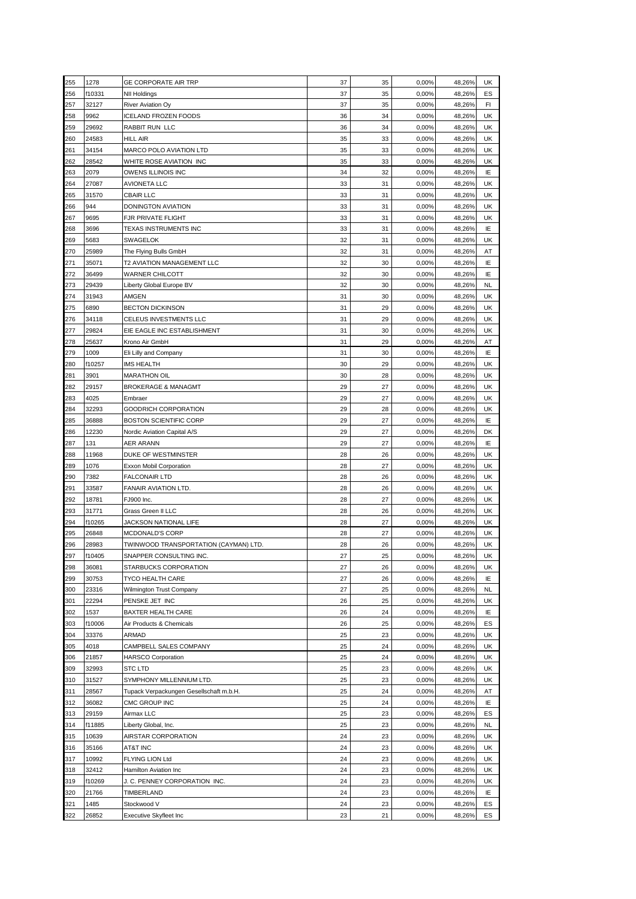| 255 | 1278   | GE CORPORATE AIR TRP                    | 37 | 35 | 0,00% | 48,26% | UK        |
|-----|--------|-----------------------------------------|----|----|-------|--------|-----------|
| 256 | f10331 | NII Holdings                            | 37 | 35 | 0,00% | 48,26% | ES        |
| 257 | 32127  | <b>River Aviation Oy</b>                | 37 | 35 | 0,00% | 48,26% | FI        |
| 258 | 9962   | <b>ICELAND FROZEN FOODS</b>             | 36 | 34 | 0,00% | 48,26% | UK        |
| 259 | 29692  | RABBIT RUN LLC                          | 36 | 34 | 0,00% | 48,26% | UK        |
| 260 | 24583  | <b>HILL AIR</b>                         | 35 | 33 | 0,00% | 48,26% | UK        |
| 261 | 34154  | MARCO POLO AVIATION LTD                 | 35 | 33 | 0,00% | 48,26% | UK        |
| 262 | 28542  | WHITE ROSE AVIATION INC                 | 35 | 33 | 0,00% | 48,26% | UK        |
| 263 | 2079   | OWENS ILLINOIS INC                      | 34 | 32 | 0,00% | 48,26% | IE        |
| 264 | 27087  | <b>AVIONETA LLC</b>                     | 33 | 31 | 0,00% | 48,26% | UK        |
| 265 | 31570  | <b>CBAIR LLC</b>                        | 33 | 31 | 0,00% | 48,26% | UK        |
| 266 | 944    | DONINGTON AVIATION                      | 33 | 31 | 0,00% | 48,26% | UK        |
|     |        |                                         |    |    |       |        |           |
| 267 | 9695   | FJR PRIVATE FLIGHT                      | 33 | 31 | 0,00% | 48,26% | UK        |
| 268 | 3696   | TEXAS INSTRUMENTS INC                   | 33 | 31 | 0,00% | 48,26% | IE        |
| 269 | 5683   | SWAGELOK                                | 32 | 31 | 0,00% | 48,26% | UK        |
| 270 | 25989  | The Flying Bulls GmbH                   | 32 | 31 | 0,00% | 48,26% | AT        |
| 271 | 35071  | T2 AVIATION MANAGEMENT LLC              | 32 | 30 | 0,00% | 48,26% | IE        |
| 272 | 36499  | WARNER CHILCOTT                         | 32 | 30 | 0,00% | 48,26% | IE        |
| 273 | 29439  | Liberty Global Europe BV                | 32 | 30 | 0,00% | 48,26% | <b>NL</b> |
| 274 | 31943  | AMGEN                                   | 31 | 30 | 0,00% | 48,26% | UK        |
| 275 | 6890   | <b>BECTON DICKINSON</b>                 | 31 | 29 | 0,00% | 48,26% | UK        |
| 276 | 34118  | CELEUS INVESTMENTS LLC                  | 31 | 29 | 0,00% | 48,26% | UK        |
| 277 | 29824  | EIE EAGLE INC ESTABLISHMENT             | 31 | 30 | 0,00% | 48,26% | UK        |
| 278 | 25637  | Krono Air GmbH                          | 31 | 29 | 0,00% | 48,26% | AT        |
| 279 | 1009   | Eli Lilly and Company                   | 31 | 30 | 0,00% | 48,26% | IE        |
| 280 | f10257 | <b>IMS HEALTH</b>                       | 30 | 29 | 0,00% | 48,26% | UK        |
| 281 | 3901   | <b>MARATHON OIL</b>                     | 30 | 28 | 0,00% | 48,26% | UK        |
| 282 | 29157  | <b>BROKERAGE &amp; MANAGMT</b>          | 29 | 27 | 0,00% | 48,26% | UK        |
| 283 | 4025   | Embraer                                 | 29 | 27 | 0,00% | 48,26% | UK        |
| 284 | 32293  | GOODRICH CORPORATION                    | 29 | 28 | 0,00% | 48,26% | UK        |
| 285 | 36888  | <b>BOSTON SCIENTIFIC CORP</b>           | 29 | 27 | 0,00% | 48,26% | IE        |
| 286 | 12230  | Nordic Aviation Capital A/S             | 29 | 27 | 0,00% | 48,26% | DK        |
| 287 | 131    | AER ARANN                               | 29 | 27 | 0,00% | 48,26% | IE        |
| 288 | 11968  | DUKE OF WESTMINSTER                     | 28 | 26 | 0,00% | 48,26% | UK        |
| 289 | 1076   | Exxon Mobil Corporation                 | 28 | 27 | 0,00% | 48,26% | UK        |
| 290 | 7382   | <b>FALCONAIR LTD</b>                    | 28 | 26 | 0,00% | 48,26% | UK        |
| 291 | 33587  | FANAIR AVIATION LTD.                    | 28 | 26 | 0,00% | 48,26% | UK        |
| 292 | 18781  | FJ900 Inc.                              | 28 | 27 | 0,00% | 48,26% | UK        |
| 293 | 31771  | Grass Green II LLC                      | 28 | 26 | 0,00% | 48,26% | UK        |
| 294 | f10265 | JACKSON NATIONAL LIFE                   | 28 | 27 | 0,00% | 48,26% | UK        |
| 295 | 26848  | MCDONALD'S CORP                         | 28 | 27 | 0,00% | 48,26% | UK        |
| 296 | 28983  | TWINWOOD TRANSPORTATION (CAYMAN) LTD.   | 28 | 26 | 0,00% | 48,26% | UK        |
| 297 | f10405 | SNAPPER CONSULTING INC.                 | 27 | 25 | 0,00% | 48,26% | UK        |
| 298 | 36081  | STARBUCKS CORPORATION                   | 27 | 26 | 0,00% | 48,26% | UK        |
| 299 | 30753  | TYCO HEALTH CARE                        | 27 | 26 | 0,00% | 48,26% | IE        |
| 300 | 23316  | Wilmington Trust Company                | 27 | 25 | 0,00% | 48,26% | <b>NL</b> |
| 301 | 22294  | PENSKE JET INC                          | 26 | 25 | 0,00% | 48,26% | UK        |
| 302 | 1537   | BAXTER HEALTH CARE                      | 26 | 24 | 0,00% | 48,26% | IE        |
| 303 | f10006 | Air Products & Chemicals                | 26 | 25 | 0,00% | 48,26% | ES        |
| 304 | 33376  | ARMAD                                   | 25 | 23 | 0,00% | 48,26% | UK        |
| 305 | 4018   | CAMPBELL SALES COMPANY                  | 25 | 24 | 0,00% |        | UK        |
|     |        |                                         | 25 | 24 |       | 48,26% | UK        |
| 306 | 21857  | HARSCO Corporation                      |    |    | 0,00% | 48,26% | UK        |
| 309 | 32993  | <b>STC LTD</b>                          | 25 | 23 | 0,00% | 48,26% |           |
| 310 | 31527  | SYMPHONY MILLENNIUM LTD.                | 25 | 23 | 0,00% | 48,26% | UK        |
| 311 | 28567  | Tupack Verpackungen Gesellschaft m.b.H. | 25 | 24 | 0,00% | 48,26% | AT        |
| 312 | 36082  | CMC GROUP INC                           | 25 | 24 | 0,00% | 48,26% | IE        |
| 313 | 29159  | Airmax LLC                              | 25 | 23 | 0,00% | 48,26% | ES        |
| 314 | f11885 | Liberty Global, Inc.                    | 25 | 23 | 0,00% | 48,26% | <b>NL</b> |
| 315 | 10639  | AIRSTAR CORPORATION                     | 24 | 23 | 0,00% | 48,26% | UK        |
| 316 | 35166  | AT&T INC                                | 24 | 23 | 0,00% | 48,26% | UK        |
| 317 | 10992  | FLYING LION Ltd                         | 24 | 23 | 0,00% | 48,26% | UK        |
| 318 | 32412  | Hamilton Aviation Inc                   | 24 | 23 | 0,00% | 48,26% | UK        |
| 319 | f10269 | J. C. PENNEY CORPORATION INC.           | 24 | 23 | 0,00% | 48,26% | UK        |
| 320 | 21766  | TIMBERLAND                              | 24 | 23 | 0,00% | 48,26% | IE        |
| 321 | 1485   | Stockwood V                             | 24 | 23 | 0,00% | 48,26% | ES        |
| 322 | 26852  | Executive Skyfleet Inc                  | 23 | 21 | 0,00% | 48,26% | ES        |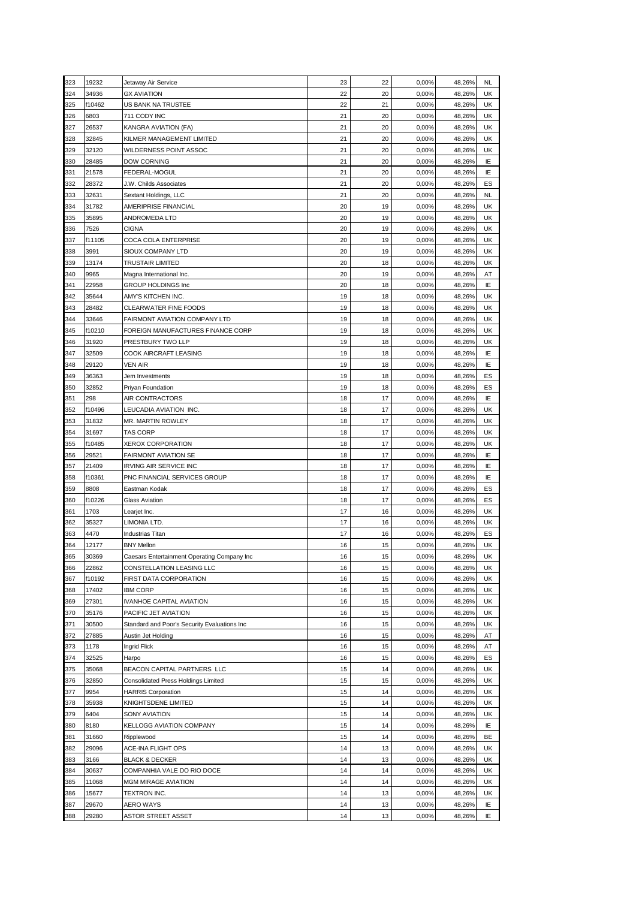| 323 | 19232          | Jetaway Air Service                                                  | 23 | 22       | 0,00% | 48,26% | <b>NL</b> |
|-----|----------------|----------------------------------------------------------------------|----|----------|-------|--------|-----------|
| 324 | 34936          | <b>GX AVIATION</b>                                                   | 22 | 20       | 0,00% | 48,26% | UK        |
| 325 | f10462         | US BANK NA TRUSTEE                                                   | 22 | 21       | 0,00% | 48,26% | UK        |
| 326 | 6803           | 711 CODY INC                                                         | 21 | 20       | 0,00% | 48,26% | UK        |
| 327 | 26537          | KANGRA AVIATION (FA)                                                 | 21 | 20       | 0,00% | 48,26% | UK        |
| 328 | 32845          | KILMER MANAGEMENT LIMITED                                            | 21 | 20       | 0,00% | 48,26% | UK        |
| 329 | 32120          | WILDERNESS POINT ASSOC                                               | 21 | 20       | 0,00% | 48,26% | UK        |
| 330 | 28485          | DOW CORNING                                                          | 21 | 20       | 0,00% | 48,26% | ΙE        |
| 331 | 21578          | FEDERAL-MOGUL                                                        | 21 | 20       | 0,00% | 48,26% | ΙE        |
| 332 | 28372          | J.W. Childs Associates                                               | 21 | 20       | 0,00% | 48,26% | ES        |
| 333 | 32631          |                                                                      | 21 | 20       | 0,00% | 48,26% | <b>NL</b> |
|     |                | Sextant Holdings, LLC                                                |    |          |       |        |           |
| 334 | 31782          | AMERIPRISE FINANCIAL                                                 | 20 | 19       | 0,00% | 48,26% | UK        |
| 335 | 35895          | ANDROMEDA LTD                                                        | 20 | 19       | 0,00% | 48,26% | UK        |
| 336 | 7526           | <b>CIGNA</b>                                                         | 20 | 19       | 0,00% | 48,26% | UK        |
| 337 | f11105         | COCA COLA ENTERPRISE                                                 | 20 | 19       | 0,00% | 48,26% | UK        |
| 338 | 3991           | SIOUX COMPANY LTD                                                    | 20 | 19       | 0,00% | 48,26% | UK        |
| 339 | 13174          | <b>TRUSTAIR LIMITED</b>                                              | 20 | 18       | 0,00% | 48,26% | UK        |
| 340 | 9965           | Magna International Inc.                                             | 20 | 19       | 0,00% | 48,26% | AT        |
| 341 | 22958          | GROUP HOLDINGS Inc                                                   | 20 | 18       | 0,00% | 48,26% | ΙE        |
| 342 | 35644          | AMY'S KITCHEN INC.                                                   | 19 | 18       | 0,00% | 48,26% | UK        |
| 343 | 28482          | CLEARWATER FINE FOODS                                                | 19 | 18       | 0,00% | 48,26% | UK        |
| 344 | 33646          | <b>FAIRMONT AVIATION COMPANY LTD</b>                                 | 19 | 18       | 0,00% | 48,26% | UK        |
| 345 | f10210         | FOREIGN MANUFACTURES FINANCE CORP                                    | 19 | 18       | 0,00% | 48,26% | UK        |
| 346 | 31920          | PRESTBURY TWO LLP                                                    | 19 | 18       | 0,00% | 48,26% | UK        |
| 347 | 32509          | COOK AIRCRAFT LEASING                                                | 19 | 18       | 0,00% | 48,26% | ΙE        |
| 348 | 29120          | VEN AIR                                                              | 19 | 18       | 0,00% | 48,26% | IE        |
| 349 | 36363          | Jem Investments                                                      | 19 | 18       | 0,00% | 48,26% | ES        |
| 350 | 32852          | Priyan Foundation                                                    | 19 | 18       | 0,00% | 48,26% | ES        |
| 351 | 298            | AIR CONTRACTORS                                                      | 18 | 17       | 0,00% | 48,26% | IE        |
| 352 | f10496         | LEUCADIA AVIATION INC.                                               | 18 | 17       | 0,00% | 48,26% | UK        |
| 353 | 31832          | MR. MARTIN ROWLEY                                                    | 18 | 17       | 0,00% | 48,26% | UK        |
| 354 | 31697          | TAS CORP                                                             | 18 | 17       | 0,00% | 48,26% | UK        |
| 355 | f10485         | <b>XEROX CORPORATION</b>                                             | 18 | 17       | 0,00% | 48,26% | UK        |
| 356 | 29521          | <b>FAIRMONT AVIATION SE</b>                                          | 18 | 17       | 0,00% | 48,26% | ΙE        |
| 357 | 21409          | <b>IRVING AIR SERVICE INC</b>                                        | 18 | 17       | 0,00% | 48,26% | IE        |
| 358 | f10361         | PNC FINANCIAL SERVICES GROUP                                         | 18 | 17       | 0,00% | 48,26% | IE        |
| 359 | 8808           | Eastman Kodak                                                        | 18 | 17       | 0,00% | 48,26% | ES        |
| 360 | f10226         | Glass Aviation                                                       | 18 | 17       | 0,00% | 48,26% | ES        |
| 361 | 1703           | Learjet Inc.                                                         | 17 | 16       | 0,00% | 48,26% | UK        |
| 362 | 35327          | LIMONIA LTD.                                                         | 17 | 16       | 0,00% | 48,26% | UK        |
| 363 | 4470           | <b>Industrias Titan</b>                                              | 17 | 16       | 0,00% | 48,26% | ES        |
| 364 | 12177          | <b>BNY Mellon</b>                                                    | 16 | 15       | 0,00% | 48,26% | UK        |
| 365 | 30369          | Caesars Entertainment Operating Company Inc                          | 16 | 15       | 0,00% | 48,26% | UK        |
| 366 | 22862          | CONSTELLATION LEASING LLC                                            | 16 | 15       | 0,00% | 48,26% | UK        |
| 367 | f10192         | FIRST DATA CORPORATION                                               | 16 | 15       | 0,00% | 48,26% | UK        |
|     | 17402          |                                                                      |    |          | 0,00% | 48,26% |           |
| 368 |                | <b>IBM CORP</b><br><b>IVANHOE CAPITAL AVIATION</b>                   | 16 | 15       |       | 48,26% | UK        |
| 369 | 27301          |                                                                      | 16 | 15       | 0,00% |        | UK        |
| 370 | 35176<br>30500 | PACIFIC JET AVIATION<br>Standard and Poor's Security Evaluations Inc | 16 | 15<br>15 | 0,00% | 48,26% | UK        |
| 371 |                |                                                                      | 16 |          | 0,00% | 48,26% | UK        |
| 372 | 27885          | Austin Jet Holding                                                   | 16 | 15       | 0,00% | 48,26% | AT        |
| 373 | 1178           | Ingrid Flick                                                         | 16 | 15       | 0,00% | 48,26% | AT        |
| 374 | 32525          | Harpo                                                                | 16 | 15       | 0,00% | 48,26% | ES        |
| 375 | 35068          | BEACON CAPITAL PARTNERS LLC                                          | 15 | 14       | 0,00% | 48,26% | UK        |
| 376 | 32850          | <b>Consolidated Press Holdings Limited</b>                           | 15 | 15       | 0,00% | 48,26% | UK        |
| 377 | 9954           | <b>HARRIS Corporation</b>                                            | 15 | 14       | 0,00% | 48,26% | UK        |
| 378 | 35938          | KNIGHTSDENE LIMITED                                                  | 15 | 14       | 0,00% | 48,26% | UK        |
| 379 | 6404           | SONY AVIATION                                                        | 15 | 14       | 0,00% | 48,26% | UK        |
| 380 | 8180           | <b>KELLOGG AVIATION COMPANY</b>                                      | 15 | 14       | 0,00% | 48,26% | ΙE        |
| 381 | 31660          | Ripplewood                                                           | 15 | 14       | 0,00% | 48,26% | BE        |
| 382 | 29096          | ACE-INA FLIGHT OPS                                                   | 14 | 13       | 0,00% | 48,26% | UK        |
| 383 | 3166           | <b>BLACK &amp; DECKER</b>                                            | 14 | 13       | 0,00% | 48,26% | UK        |
| 384 | 30637          | COMPANHIA VALE DO RIO DOCE                                           | 14 | 14       | 0,00% | 48,26% | UK        |
| 385 | 11068          | MGM MIRAGE AVIATION                                                  | 14 | 14       | 0,00% | 48,26% | UK        |
| 386 | 15677          | TEXTRON INC.                                                         | 14 | 13       | 0,00% | 48,26% | UK        |
| 387 | 29670          | <b>AERO WAYS</b>                                                     | 14 | 13       | 0,00% | 48,26% | IE        |
| 388 | 29280          | ASTOR STREET ASSET                                                   | 14 | 13       | 0,00% | 48,26% | ΙE        |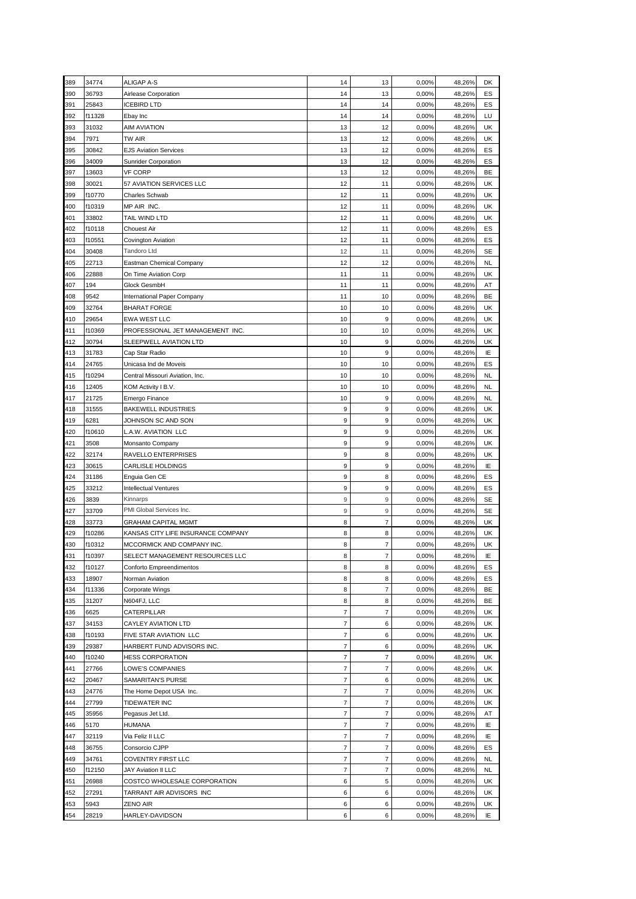| 389        | 34774           | <b>ALIGAP A-S</b>                                    | 14                       | 13                        | 0,00%          | 48,26%           | DK        |
|------------|-----------------|------------------------------------------------------|--------------------------|---------------------------|----------------|------------------|-----------|
| 390        | 36793           | Airlease Corporation                                 | 14                       | 13                        | 0,00%          | 48,26%           | ES        |
| 391        | 25843           | <b>ICEBIRD LTD</b>                                   | 14                       | 14                        | 0,00%          | 48,26%           | ES        |
| 392        | f11328          | Ebay Inc                                             | 14                       | 14                        | 0,00%          | 48,26%           | LU        |
| 393        | 31032           | <b>AIM AVIATION</b>                                  | 13                       | 12                        | 0,00%          | 48,26%           | UK        |
| 394        | 7971            | tw air                                               | 13                       | 12                        | 0,00%          | 48,26%           | UK        |
| 395        | 30842           | <b>EJS Aviation Services</b>                         | 13                       | 12                        | 0,00%          | 48,26%           | ES        |
| 396        | 34009           | <b>Sunrider Corporation</b>                          | 13                       | 12                        | 0,00%          | 48,26%           | ES        |
| 397        | 13603           | <b>VF CORP</b>                                       | 13                       | 12                        | 0,00%          | 48,26%           | BE        |
| 398        | 30021           | 57 AVIATION SERVICES LLC                             | 12                       | 11                        | 0,00%          | 48,26%           | UK        |
| 399        | f10770          | Charles Schwab                                       | 12                       | 11                        | 0,00%          | 48,26%           | UK        |
|            | f10319          |                                                      |                          |                           |                |                  |           |
| 400        |                 | MP AIR INC.                                          | 12                       | 11                        | 0,00%          | 48,26%           | UK        |
| 401        | 33802           | TAIL WIND LTD                                        | 12                       | 11                        | 0,00%          | 48,26%           | UK        |
| 402        | f10118          | <b>Chouest Air</b>                                   | 12                       | 11                        | 0,00%          | 48,26%           | ES        |
| 403        | f10551          | Covington Aviation                                   | 12                       | 11                        | 0,00%          | 48,26%           | ES        |
| 404        | 30408           | Tandoro Ltd                                          | 12                       | 11                        | 0,00%          | 48,26%           | SE        |
| 405        | 22713           | <b>Eastman Chemical Company</b>                      | 12                       | 12                        | 0,00%          | 48,26%           | <b>NL</b> |
| 406        | 22888           | On Time Aviation Corp                                | 11                       | 11                        | 0,00%          | 48,26%           | UK        |
| 407        | 194             | Glock GesmbH                                         | 11                       | 11                        | 0,00%          | 48,26%           | AT        |
| 408        | 9542            | International Paper Company                          | 11                       | 10                        | 0,00%          | 48,26%           | BE        |
| 409        | 32764           | <b>BHARAT FORGE</b>                                  | 10                       | 10                        | 0,00%          | 48,26%           | UK        |
| 410        | 29654           | <b>EWA WEST LLC</b>                                  | 10                       | 9                         | 0,00%          | 48,26%           | UK        |
| 411        | f10369          | PROFESSIONAL JET MANAGEMENT INC.                     | 10                       | 10                        | 0,00%          | 48,26%           | UK        |
| 412        | 30794           | SLEEPWELL AVIATION LTD                               | 10                       | 9                         | 0,00%          | 48,26%           | UK        |
| 413        | 31783           | Cap Star Radio                                       | 10                       | 9                         | 0,00%          | 48,26%           | ΙE        |
| 414        | 24765           | Unicasa Ind de Moveis                                | 10                       | 10                        | 0,00%          | 48,26%           | ES        |
| 415        | f10294          | Central Missouri Aviation, Inc.                      | 10                       | 10                        | 0,00%          | 48,26%           | <b>NL</b> |
| 416        | 12405           | KOM Activity I B.V.                                  | 10                       | 10                        | 0,00%          | 48,26%           | <b>NL</b> |
| 417        | 21725           | <b>Emergo Finance</b>                                | 10                       | 9                         | 0,00%          | 48,26%           | <b>NL</b> |
| 418        | 31555           | <b>BAKEWELL INDUSTRIES</b>                           | 9                        | 9                         | 0,00%          | 48,26%           | UK        |
| 419        | 6281            | JOHNSON SC AND SON                                   | 9                        | 9                         | 0,00%          | 48,26%           | UK        |
| 420        | f10610          | L.A.W. AVIATION LLC                                  | 9                        | 9                         | 0,00%          | 48,26%           | UK        |
| 421        | 3508            | Monsanto Company                                     | 9                        | 9                         | 0,00%          | 48,26%           | UK        |
| 422        | 32174           | RAVELLO ENTERPRISES                                  | 9                        | 8                         | 0,00%          | 48,26%           | UK        |
| 423        | 30615           | <b>CARLISLE HOLDINGS</b>                             | 9                        | 9                         | 0,00%          | 48,26%           | IE        |
| 424        | 31186           | Enguia Gen CE                                        | 9                        | 8                         | 0,00%          | 48,26%           | ES        |
| 425        | 33212           | Intellectual Ventures                                | 9                        | 9                         | 0,00%          | 48,26%           | ES        |
| 426        | 3839            | Kinnarps                                             | 9                        | 9                         | 0,00%          | 48,26%           | SE        |
| 427        | 33709           | PMI Global Services Inc.                             | $\mathsf g$              | 9                         | 0,00%          | 48,26%           | SE        |
| 428        | 33773           | GRAHAM CAPITAL MGMT                                  | 8                        | $\overline{7}$            | 0,00%          | 48,26%           | UK        |
| 429        | f10286          | KANSAS CITY LIFE INSURANCE COMPANY                   | 8                        | 8                         | 0,00%          | 48,26%           | UK        |
| 430        | f10312          | MCCORMICK AND COMPANY INC.                           | 8                        | 7                         | 0.00%          | 48,26%           | UK        |
| 431        | f10397          | SELECT MANAGEMENT RESOURCES LLC                      | 8                        | 7                         | 0,00%          | 48,26%           | IE        |
| 432        | f10127          | Conforto Empreendimentos                             | 8                        | 8                         | 0,00%          | 48,26%           | ES        |
| 433        | 18907           | Norman Aviation                                      | 8                        | 8                         | 0,00%          | 48,26%           | ES        |
| 434        | f11336          | Corporate Wings                                      | 8                        | $\overline{7}$            | 0,00%          | 48,26%           | BE        |
| 435        | 31207           | N604FJ, LLC                                          | 8                        | 8                         | 0,00%          | 48,26%           | BE        |
|            |                 |                                                      | $\overline{7}$           | 7                         |                |                  |           |
| 436<br>437 | 6625<br>34153   | CATERPILLAR<br><b>CAYLEY AVIATION LTD</b>            | 7                        | 6                         | 0,00%<br>0,00% | 48,26%<br>48,26% | UK<br>UK  |
|            |                 |                                                      |                          |                           |                |                  |           |
| 438<br>439 | f10193<br>29387 | FIVE STAR AVIATION LLC<br>HARBERT FUND ADVISORS INC. | 7<br>7                   | 6<br>6                    | 0,00%<br>0,00% | 48,26%<br>48,26% | UK        |
|            |                 |                                                      |                          |                           |                |                  | UK        |
| 440        | f10240          | <b>HESS CORPORATION</b>                              | $\overline{7}$           | 7                         | 0,00%          | 48,26%           | UK        |
| 441        | 27766           | LOWE'S COMPANIES                                     | 7                        | $\overline{\mathfrak{c}}$ | 0,00%          | 48,26%           | UK        |
| 442        | 20467           | SAMARITAN'S PURSE                                    | 7                        | 6                         | 0,00%          | 48,26%           | UK        |
| 443        | 24776           | The Home Depot USA Inc.                              | $\overline{\mathcal{I}}$ | $\overline{\mathcal{I}}$  | 0,00%          | 48,26%           | UK        |
| 444        | 27799           | TIDEWATER INC                                        | $\overline{7}$           | $\overline{7}$            | 0,00%          | 48,26%           | UK        |
| 445        | 35956           | Pegasus Jet Ltd.                                     | $\overline{\mathcal{I}}$ | $\overline{\mathcal{I}}$  | 0,00%          | 48,26%           | AT        |
| 446        | 5170            | <b>HUMANA</b>                                        | 7                        | $\overline{\mathfrak{c}}$ | 0,00%          | 48,26%           | ΙE        |
| 447        | 32119           | Via Feliz II LLC                                     | $\overline{\mathcal{I}}$ | $\overline{\mathcal{I}}$  | 0,00%          | 48,26%           | ΙE        |
| 448        | 36755           | Consorcio CJPP                                       | $\overline{7}$           | $\overline{7}$            | 0,00%          | 48,26%           | ES        |
| 449        | 34761           | COVENTRY FIRST LLC                                   | $\overline{7}$           | $\overline{7}$            | 0,00%          | 48,26%           | NL        |
| 450        | f12150          | JAY Aviation II LLC                                  | $\overline{7}$           | $\overline{7}$            | 0,00%          | 48,26%           | NL        |
| 451        | 26988           | COSTCO WHOLESALE CORPORATION                         | 6                        | 5                         | 0,00%          | 48,26%           | UK        |
| 452        | 27291           | TARRANT AIR ADVISORS INC                             | 6                        | 6                         | 0,00%          | 48,26%           | UK        |
| 453        | 5943            | ZENO AIR                                             | 6                        | 6                         | 0,00%          | 48,26%           | UK        |
| 454        | 28219           | HARLEY-DAVIDSON                                      | 6                        | 6                         | 0,00%          | 48,26%           | ΙE        |